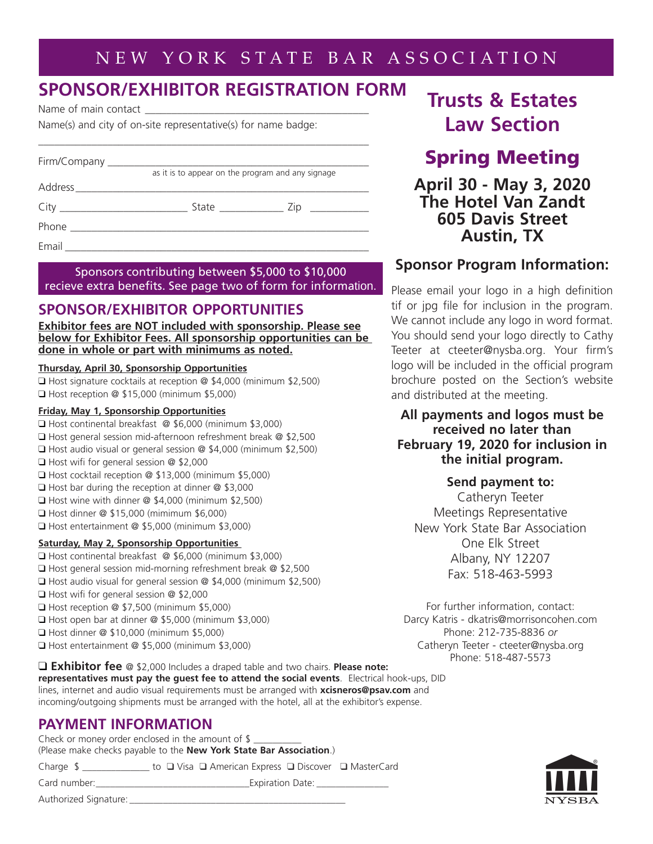## NEW YORK STATE BAR ASSOCIATION

## **SPONSOR/EXHIBITOR REGISTRATION FORM**

Name of main contact

Name(s) and city of on-site representative(s) for name badge:

| Firm/Company ________________ |                                                   |
|-------------------------------|---------------------------------------------------|
|                               | as it is to appear on the program and any signage |
|                               |                                                   |
|                               |                                                   |
|                               |                                                   |
| Email                         |                                                   |

Sponsors contributing between \$5,000 to \$10,000 recieve extra benefits. See page two of form for information.

## **SPONSOR/EXHIBITOR OPPORTUNITIES**

**Exhibitor fees are NOT included with sponsorship. Please see below for Exhibitor Fees. All sponsorship opportunities can be done in whole or part with minimums as noted.**

#### **Thursday, April 30, Sponsorship Opportunities**

❑ Host signature cocktails at reception @ \$4,000 (minimum \$2,500) ❑ Host reception @ \$15,000 (minimum \$5,000)

#### **Friday, May 1, Sponsorship Opportunities**

- ❑ Host continental breakfast @ \$6,000 (minimum \$3,000) ❑ Host general session mid-afternoon refreshment break @ \$2,500 ❑ Host audio visual or general session @ \$4,000 (minimum \$2,500) ❑ Host wifi for general session @ \$2,000 ❑ Host cocktail reception @ \$13,000 (minimum \$5,000) ❑ Host bar during the reception at dinner @ \$3,000 ❑ Host wine with dinner @ \$4,000 (minimum \$2,500) ❑ Host dinner @ \$15,000 (mimimum \$6,000) ❑ Host entertainment @ \$5,000 (minimum \$3,000) **Saturday, May 2, Sponsorship Opportunities** ❑ Host continental breakfast @ \$6,000 (minimum \$3,000) ❑ Host general session mid-morning refreshment break @ \$2,500
- ❑ Host audio visual for general session @ \$4,000 (minimum \$2,500)
- ❑ Host wifi for general session @ \$2,000
- ❑ Host reception @ \$7,500 (minimum \$5,000)
- ❑ Host open bar at dinner @ \$5,000 (minimum \$3,000)
- ❑ Host dinner @ \$10,000 (minimum \$5,000)
- ❑ Host entertainment @ \$5,000 (minimum \$3,000)

# **Trusts & Estates Law Section**

## **Spring Meeting**

**April 30 - May 3, 2020 The Hotel Van Zandt 605 Davis Street Austin, TX**

## **Sponsor Program Information:**

Please email your logo in a high definition tif or jpg file for inclusion in the program. We cannot include any logo in word format. You should send your logo directly to Cathy Teeter at cteeter@nysba.org. Your firm's logo will be included in the official program brochure posted on the Section's website and distributed at the meeting.

### **All payments and logos must be received no later than February 19, 2020 for inclusion in the initial program.**

### **Send payment to:**

Catheryn Teeter Meetings Representative New York State Bar Association One Elk Street Albany, NY 12207 Fax: 518-463-5993

For further information, contact: Darcy Katris - dkatris@morrisoncohen.com Phone: 212-735-8836 *or*  Catheryn Teeter - cteeter@nysba.org Phone: 518-487-5573

❑ **Exhibitor fee** @ \$2,000 Includes a draped table and two chairs. **Please note: representatives must pay the guest fee to attend the social events**. Electrical hook-ups, DID lines, internet and audio visual requirements must be arranged with **xcisneros@psav.com** and incoming/outgoing shipments must be arranged with the hotel, all at the exhibitor's expense.

## **PAYMENT INFORMATION**

Check or money order enclosed in the amount of  $\$ (Please make checks payable to the **New York State Bar Association**.)

Charge \$ \_\_\_\_\_\_\_\_\_\_\_\_\_\_ to ❑ Visa ❑ American Express ❑ Discover ❑ MasterCard

Card number: \_\_\_\_\_\_\_\_\_\_\_\_\_\_\_\_\_\_\_\_\_\_\_\_\_\_\_\_\_\_\_\_Expiration Date: \_\_\_\_\_\_\_\_\_\_\_\_\_\_\_

Authorized Signature: \_\_\_\_\_\_\_\_\_\_\_\_\_\_\_\_\_\_\_\_\_\_\_\_\_\_\_\_\_\_\_\_\_\_\_\_\_\_\_\_\_\_\_\_\_